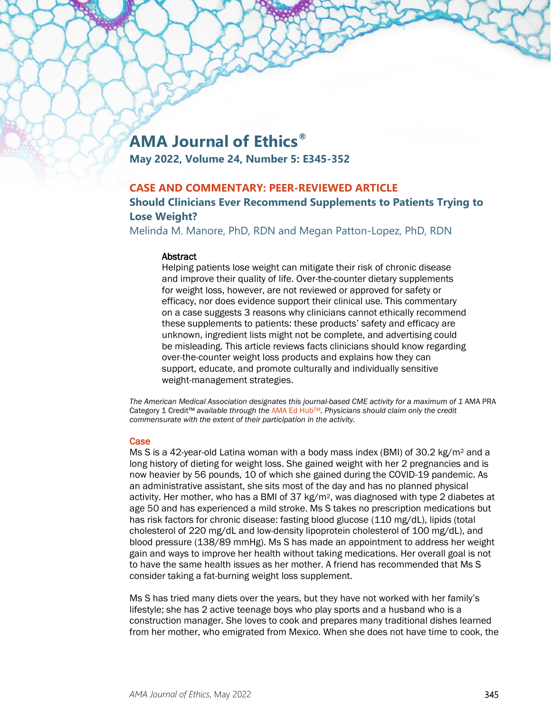# **AMA Journal of Ethics®**

**May 2022, Volume 24, Number 5: E345-352**

## **CASE AND COMMENTARY: PEER-REVIEWED ARTICLE**

# **Should Clinicians Ever Recommend Supplements to Patients Trying to Lose Weight?**

Melinda M. Manore, PhD, RDN and Megan Patton-Lopez, PhD, RDN

#### **Abstract**

Helping patients lose weight can mitigate their risk of chronic disease and improve their quality of life. Over-the-counter dietary supplements for weight loss, however, are not reviewed or approved for safety or efficacy, nor does evidence support their clinical use. This commentary on a case suggests 3 reasons why clinicians cannot ethically recommend these supplements to patients: these products' safety and efficacy are unknown, ingredient lists might not be complete, and advertising could be misleading. This article reviews facts clinicians should know regarding over-the-counter weight loss products and explains how they can support, educate, and promote culturally and individually sensitive weight-management strategies.

The American Medical Association designates this journal-based CME activity for a maximum of 1 AMA PRA Category 1 Credit™ *available through the* [AMA Ed HubTM](https://edhub.ama-assn.org/ama-journal-of-ethics/module/2791788)*. Physicians should claim only the credit commensurate with the extent of their participation in the activity.*

#### **Case**

Ms S is a 42-year-old Latina woman with a body mass index (BMI) of 30.2 kg/m<sup>2</sup> and a long history of dieting for weight loss. She gained weight with her 2 pregnancies and is now heavier by 56 pounds, 10 of which she gained during the COVID-19 pandemic. As an administrative assistant, she sits most of the day and has no planned physical activity. Her mother, who has a BMI of 37  $kg/m^2$ , was diagnosed with type 2 diabetes at age 50 and has experienced a mild stroke. Ms S takes no prescription medications but has risk factors for chronic disease: fasting blood glucose (110 mg/dL), lipids (total cholesterol of 220 mg/dL and low-density lipoprotein cholesterol of 100 mg/dL), and blood pressure (138/89 mmHg). Ms S has made an appointment to address her weight gain and ways to improve her health without taking medications. Her overall goal is not to have the same health issues as her mother. A friend has recommended that Ms S consider taking a fat-burning weight loss supplement.

Ms S has tried many diets over the years, but they have not worked with her family's lifestyle; she has 2 active teenage boys who play sports and a husband who is a construction manager. She loves to cook and prepares many traditional dishes learned from her mother, who emigrated from Mexico. When she does not have time to cook, the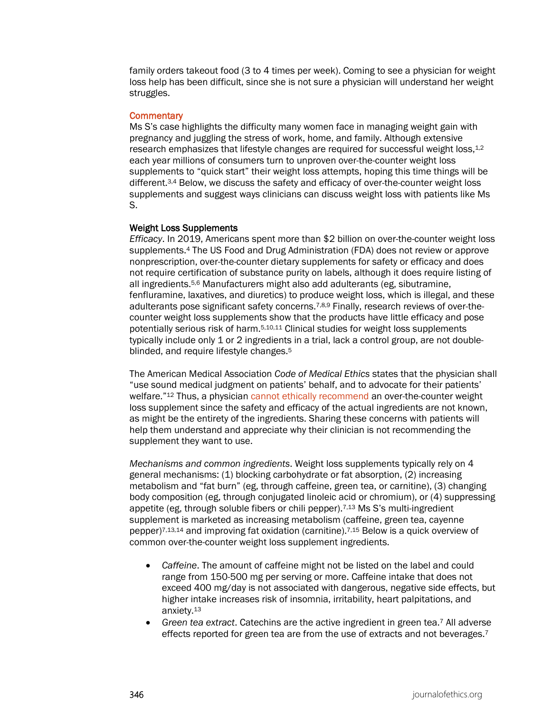family orders takeout food (3 to 4 times per week). Coming to see a physician for weight loss help has been difficult, since she is not sure a physician will understand her weight struggles.

#### **Commentary**

Ms S's case highlights the difficulty many women face in managing weight gain with pregnancy and juggling the stress of work, home, and family. Although extensive research emphasizes that lifestyle changes are required for successful weight loss, $1,2$ each year millions of consumers turn to unproven over-the-counter weight loss supplements to "quick start" their weight loss attempts, hoping this time things will be different.3,4 Below, we discuss the safety and efficacy of over-the-counter weight loss supplements and suggest ways clinicians can discuss weight loss with patients like Ms S.

#### Weight Loss Supplements

*Efficacy*. In 2019, Americans spent more than \$2 billion on over-the-counter weight loss supplements.4 The US Food and Drug Administration (FDA) does not review or approve nonprescription, over-the-counter dietary supplements for safety or efficacy and does not require certification of substance purity on labels, although it does require listing of all ingredients.5,6 Manufacturers might also add adulterants (eg, sibutramine, fenfluramine, laxatives, and diuretics) to produce weight loss, which is illegal, and these adulterants pose significant safety concerns.7,8,9 Finally, research reviews of over-thecounter weight loss supplements show that the products have little efficacy and pose potentially serious risk of harm.5,10,11 Clinical studies for weight loss supplements typically include only 1 or 2 ingredients in a trial, lack a control group, are not doubleblinded, and require lifestyle changes.5

The American Medical Association *Code of Medical Ethics* states that the physician shall "use sound medical judgment on patients' behalf, and to advocate for their patients' welfare."12 Thus, a physicia[n cannot ethically recommend](https://journalofethics.ama-assn.org/article/responding-patients-requests-nontraditional-or-unproven-treatments/2013-11) an over-the-counter weight loss supplement since the safety and efficacy of the actual ingredients are not known, as might be the entirety of the ingredients. Sharing these concerns with patients will help them understand and appreciate why their clinician is not recommending the supplement they want to use.

*Mechanisms and common ingredients*. Weight loss supplements typically rely on 4 general mechanisms: (1) blocking carbohydrate or fat absorption, (2) increasing metabolism and "fat burn" (eg, through caffeine, green tea, or carnitine), (3) changing body composition (eg, through conjugated linoleic acid or chromium), or (4) suppressing appetite (eg, through soluble fibers or chili pepper).7,13 Ms S's multi-ingredient supplement is marketed as increasing metabolism (caffeine, green tea, cayenne pepper)7,13,14 and improving fat oxidation (carnitine).7,15 Below is a quick overview of common over-the-counter weight loss supplement ingredients.

- *Caffeine*. The amount of caffeine might not be listed on the label and could range from 150-500 mg per serving or more. Caffeine intake that does not exceed 400 mg/day is not associated with dangerous, negative side effects, but higher intake increases risk of insomnia, irritability, heart palpitations, and anxiety.13
- *Green tea extract*. Catechins are the active ingredient in green tea.7 All adverse effects reported for green tea are from the use of extracts and not beverages.<sup>7</sup>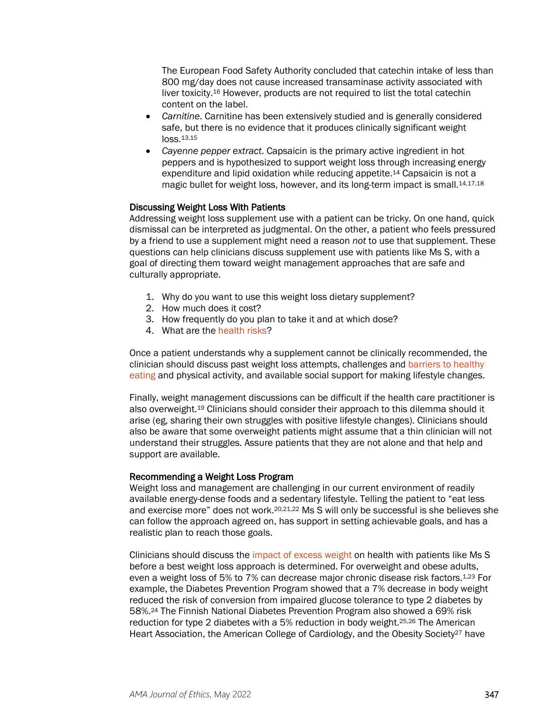The European Food Safety Authority concluded that catechin intake of less than 800 mg/day does not cause increased transaminase activity associated with liver toxicity.16 However, products are not required to list the total catechin content on the label.

- *Carnitine*. Carnitine has been extensively studied and is generally considered safe, but there is no evidence that it produces clinically significant weight loss.13,15
- *Cayenne pepper extract*. Capsaicin is the primary active ingredient in hot peppers and is hypothesized to support weight loss through increasing energy expenditure and lipid oxidation while reducing appetite.14 Capsaicin is not a magic bullet for weight loss, however, and its long-term impact is small.<sup>14,17,18</sup>

#### Discussing Weight Loss With Patients

Addressing weight loss supplement use with a patient can be tricky. On one hand, quick dismissal can be interpreted as judgmental. On the other, a patient who feels pressured by a friend to use a supplement might need a reason *not* to use that supplement. These questions can help clinicians discuss supplement use with patients like Ms S, with a goal of directing them toward weight management approaches that are safe and culturally appropriate.

- 1. Why do you want to use this weight loss dietary supplement?
- 2. How much does it cost?
- 3. How frequently do you plan to take it and at which dose?
- 4. What are the [health risks?](https://journalofethics.ama-assn.org/article/weighing-risks-weight-loss-aids/2002-11)

Once a patient understands why a supplement cannot be clinically recommended, the clinician should discuss past weight loss attempts, challenges and [barriers to healthy](https://journalofethics.ama-assn.org/article/how-should-physician-counsel-vegan-patient-ibd-who-might-benefit-supplements/2018-11)  [eating](https://journalofethics.ama-assn.org/article/how-should-physician-counsel-vegan-patient-ibd-who-might-benefit-supplements/2018-11) and physical activity, and available social support for making lifestyle changes.

Finally, weight management discussions can be difficult if the health care practitioner is also overweight.19 Clinicians should consider their approach to this dilemma should it arise (eg, sharing their own struggles with positive lifestyle changes). Clinicians should also be aware that some overweight patients might assume that a thin clinician will not understand their struggles. Assure patients that they are not alone and that help and support are available.

#### Recommending a Weight Loss Program

Weight loss and management are challenging in our current environment of readily available energy-dense foods and a sedentary lifestyle. Telling the patient to "eat less and exercise more" does not work.<sup>20,21,22</sup> Ms S will only be successful is she believes she can follow the approach agreed on, has support in setting achievable goals, and has a realistic plan to reach those goals.

Clinicians should discuss the [impact of excess weight](https://journalofethics.ama-assn.org/article/how-forcefully-should-clinicians-encourage-treatment-when-disagreement-persists-about-obesity-risk/2018-12) on health with patients like Ms S before a best weight loss approach is determined. For overweight and obese adults, even a weight loss of 5% to 7% can decrease major chronic disease risk factors.<sup>1,23</sup> For example, the Diabetes Prevention Program showed that a 7% decrease in body weight reduced the risk of conversion from impaired glucose tolerance to type 2 diabetes by 58%.24 The Finnish National Diabetes Prevention Program also showed a 69% risk reduction for type 2 diabetes with a 5% reduction in body weight.25,26 The American Heart Association, the American College of Cardiology, and the Obesity Society<sup>27</sup> have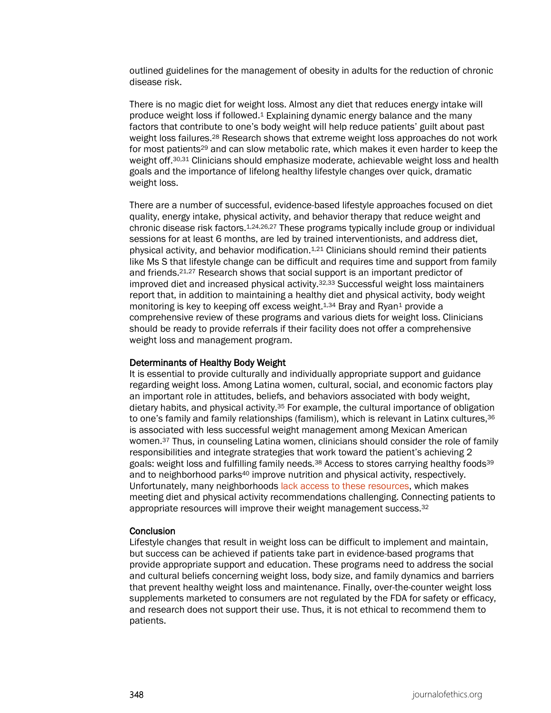outlined guidelines for the management of obesity in adults for the reduction of chronic disease risk.

There is no magic diet for weight loss. Almost any diet that reduces energy intake will produce weight loss if followed.1 Explaining dynamic energy balance and the many factors that contribute to one's body weight will help reduce patients' guilt about past weight loss failures.28 Research shows that extreme weight loss approaches do not work for most patients<sup>29</sup> and can slow metabolic rate, which makes it even harder to keep the weight off.30,31 Clinicians should emphasize moderate, achievable weight loss and health goals and the importance of lifelong healthy lifestyle changes over quick, dramatic weight loss.

There are a number of successful, evidence-based lifestyle approaches focused on diet quality, energy intake, physical activity, and behavior therapy that reduce weight and chronic disease risk factors.1,24,26,27 These programs typically include group or individual sessions for at least 6 months, are led by trained interventionists, and address diet, physical activity, and behavior modification.1,21 Clinicians should remind their patients like Ms S that lifestyle change can be difficult and requires time and support from family and friends.21,27 Research shows that social support is an important predictor of improved diet and increased physical activity.32,33 Successful weight loss maintainers report that, in addition to maintaining a healthy diet and physical activity, body weight monitoring is key to keeping off excess weight.<sup>1,34</sup> Bray and Ryan<sup>1</sup> provide a comprehensive review of these programs and various diets for weight loss. Clinicians should be ready to provide referrals if their facility does not offer a comprehensive weight loss and management program.

#### Determinants of Healthy Body Weight

It is essential to provide culturally and individually appropriate support and guidance regarding weight loss. Among Latina women, cultural, social, and economic factors play an important role in attitudes, beliefs, and behaviors associated with body weight, dietary habits, and physical activity.35 For example, the cultural importance of obligation to one's family and family relationships (familism), which is relevant in Latinx cultures, 36 is associated with less successful weight management among Mexican American women.37 Thus, in counseling Latina women, clinicians should consider the role of family responsibilities and integrate strategies that work toward the patient's achieving 2 goals: weight loss and fulfilling family needs.38 Access to stores carrying healthy foods39 and to neighborhood parks<sup>40</sup> improve nutrition and physical activity, respectively. Unfortunately, many neighborhoods [lack access to these resources,](https://journalofethics.ama-assn.org/article/how-should-physicians-counsel-patients-who-live-food-deserts/2018-10) which makes meeting diet and physical activity recommendations challenging. Connecting patients to appropriate resources will improve their weight management success.32

#### **Conclusion**

Lifestyle changes that result in weight loss can be difficult to implement and maintain, but success can be achieved if patients take part in evidence-based programs that provide appropriate support and education. These programs need to address the social and cultural beliefs concerning weight loss, body size, and family dynamics and barriers that prevent healthy weight loss and maintenance. Finally, over-the-counter weight loss supplements marketed to consumers are not regulated by the FDA for safety or efficacy, and research does not support their use. Thus, it is not ethical to recommend them to patients.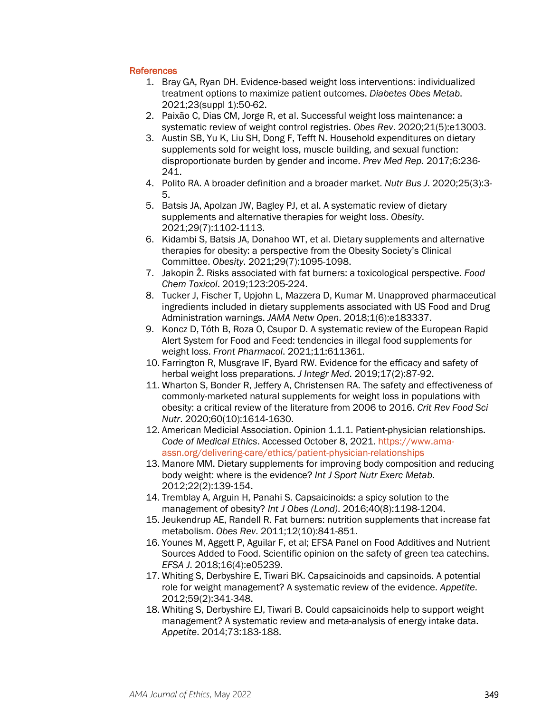### **References**

- 1. Bray GA, Ryan DH. Evidence‐based weight loss interventions: individualized treatment options to maximize patient outcomes. *Diabetes Obes Metab*. 2021;23(suppl 1):50-62.
- 2. Paixão C, Dias CM, Jorge R, et al. Successful weight loss maintenance: a systematic review of weight control registries. *Obes Rev*. 2020;21(5):e13003.
- 3. Austin SB, Yu K, Liu SH, Dong F, Tefft N. Household expenditures on dietary supplements sold for weight loss, muscle building, and sexual function: disproportionate burden by gender and income. *Prev Med Rep*. 2017;6:236- 241.
- 4. Polito RA. A broader definition and a broader market. *Nutr Bus J*. 2020;25(3):3- 5.
- 5. Batsis JA, Apolzan JW, Bagley PJ, et al. A systematic review of dietary supplements and alternative therapies for weight loss. *Obesity*. 2021;29(7):1102-1113.
- 6. Kidambi S, Batsis JA, Donahoo WT, et al. Dietary supplements and alternative therapies for obesity: a perspective from the Obesity Society's Clinical Committee. *Obesity*. 2021;29(7):1095-1098.
- 7. Jakopin Ž. Risks associated with fat burners: a toxicological perspective. *Food Chem Toxicol*. 2019;123:205-224.
- 8. Tucker J, Fischer T, Upjohn L, Mazzera D, Kumar M. Unapproved pharmaceutical ingredients included in dietary supplements associated with US Food and Drug Administration warnings. *JAMA Netw Open*. 2018;1(6):e183337.
- 9. Koncz D, Tóth B, Roza O, Csupor D. A systematic review of the European Rapid Alert System for Food and Feed: tendencies in illegal food supplements for weight loss. *Front Pharmacol*. 2021;11:611361.
- 10. Farrington R, Musgrave IF, Byard RW. Evidence for the efficacy and safety of herbal weight loss preparations. *J Integr Med*. 2019;17(2):87-92.
- 11. Wharton S, Bonder R, Jeffery A, Christensen RA. The safety and effectiveness of commonly-marketed natural supplements for weight loss in populations with obesity: a critical review of the literature from 2006 to 2016. *Crit Rev Food Sci Nutr*. 2020;60(10):1614-1630.
- 12. American Medicial Association. Opinion 1.1.1. Patient-physician relationships. *Code of Medical Ethics*. Accessed October 8, 2021. [https://www.ama](https://www.ama-assn.org/delivering-care/ethics/patient-physician-relationships)[assn.org/delivering-care/ethics/patient-physician-relationships](https://www.ama-assn.org/delivering-care/ethics/patient-physician-relationships)
- 13. Manore MM. Dietary supplements for improving body composition and reducing body weight: where is the evidence? *Int J Sport Nutr Exerc Metab*. 2012;22(2):139-154.
- 14. Tremblay A, Arguin H, Panahi S. Capsaicinoids: a spicy solution to the management of obesity? *Int J Obes (Lond)*. 2016;40(8):1198-1204.
- 15. Jeukendrup AE, Randell R. Fat burners: nutrition supplements that increase fat metabolism. *Obes Rev*. 2011;12(10):841-851.
- 16. Younes M, Aggett P, Aguilar F, et al; EFSA Panel on Food Additives and Nutrient Sources Added to Food. Scientific opinion on the safety of green tea catechins. *EFSA J*. 2018;16(4):e05239.
- 17. Whiting S, Derbyshire E, Tiwari BK. Capsaicinoids and capsinoids. A potential role for weight management? A systematic review of the evidence. *Appetite*. 2012;59(2):341-348.
- 18. Whiting S, Derbyshire EJ, Tiwari B. Could capsaicinoids help to support weight management? A systematic review and meta-analysis of energy intake data. *Appetite*. 2014;73:183-188.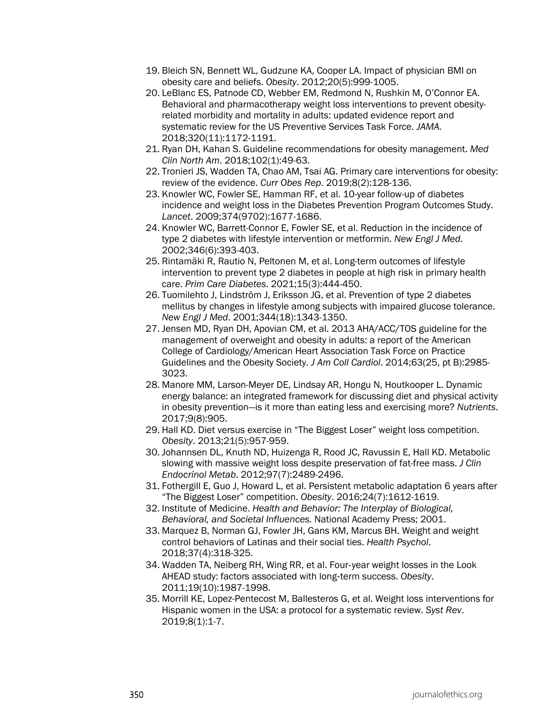- 19. Bleich SN, Bennett WL, Gudzune KA, Cooper LA. Impact of physician BMI on obesity care and beliefs. *Obesity*. 2012;20(5):999-1005.
- 20. LeBlanc ES, Patnode CD, Webber EM, Redmond N, Rushkin M, O'Connor EA. Behavioral and pharmacotherapy weight loss interventions to prevent obesityrelated morbidity and mortality in adults: updated evidence report and systematic review for the US Preventive Services Task Force. *JAMA.* 2018;320(11):1172-1191.
- 21. Ryan DH, Kahan S. Guideline recommendations for obesity management. *Med Clin North Am*. 2018;102(1):49-63.
- 22. Tronieri JS, Wadden TA, Chao AM, Tsai AG. Primary care interventions for obesity: review of the evidence. *Curr Obes Rep*. 2019;8(2):128-136.
- 23. Knowler WC, Fowler SE, Hamman RF, et al. 10-year follow-up of diabetes incidence and weight loss in the Diabetes Prevention Program Outcomes Study. *Lancet*. 2009;374(9702):1677-1686.
- 24. Knowler WC, Barrett-Connor E, Fowler SE, et al. Reduction in the incidence of type 2 diabetes with lifestyle intervention or metformin. *New Engl J Med*. 2002;346(6):393-403.
- 25. Rintamäki R, Rautio N, Peltonen M, et al. Long-term outcomes of lifestyle intervention to prevent type 2 diabetes in people at high risk in primary health care. *Prim Care Diabetes*. 2021;15(3):444-450.
- 26. Tuomilehto J, Lindström J, Eriksson JG, et al. Prevention of type 2 diabetes mellitus by changes in lifestyle among subjects with impaired glucose tolerance. *New Engl J Med*. 2001;344(18):1343-1350.
- 27. Jensen MD, Ryan DH, Apovian CM, et al. 2013 AHA/ACC/TOS guideline for the management of overweight and obesity in adults: a report of the American College of Cardiology/American Heart Association Task Force on Practice Guidelines and the Obesity Society. *J Am Coll Cardiol*. 2014;63(25, pt B):2985- 3023.
- 28. Manore MM, Larson-Meyer DE, Lindsay AR, Hongu N, Houtkooper L. Dynamic energy balance: an integrated framework for discussing diet and physical activity in obesity prevention—is it more than eating less and exercising more? *Nutrients*. 2017;9(8):905.
- 29. Hall KD. Diet versus exercise in "The Biggest Loser" weight loss competition. *Obesity*. 2013;21(5):957-959.
- 30. Johannsen DL, Knuth ND, Huizenga R, Rood JC, Ravussin E, Hall KD. Metabolic slowing with massive weight loss despite preservation of fat-free mass. *J Clin Endocrinol Metab*. 2012;97(7):2489-2496.
- 31. Fothergill E, Guo J, Howard L, et al. Persistent metabolic adaptation 6 years after "The Biggest Loser" competition. *Obesity*. 2016;24(7):1612-1619.
- 32. Institute of Medicine. *Health and Behavior: The Interplay of Biological, Behavioral, and Societal Influences.* National Academy Press; 2001.
- 33. Marquez B, Norman GJ, Fowler JH, Gans KM, Marcus BH. Weight and weight control behaviors of Latinas and their social ties. *Health Psychol*. 2018;37(4):318-325.
- 34. Wadden TA, Neiberg RH, Wing RR, et al. Four‐year weight losses in the Look AHEAD study: factors associated with long‐term success. *Obesity*. 2011;19(10):1987-1998.
- 35. Morrill KE, Lopez-Pentecost M, Ballesteros G, et al. Weight loss interventions for Hispanic women in the USA: a protocol for a systematic review. *Syst Rev*. 2019;8(1):1-7.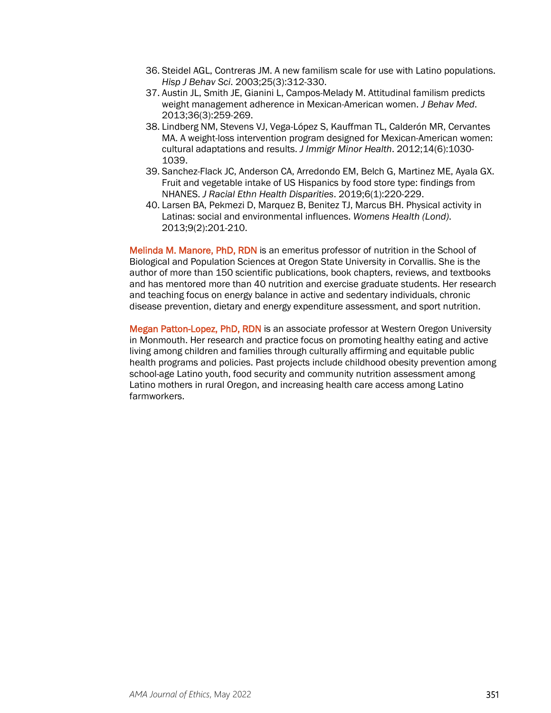- 36. Steidel AGL, Contreras JM. A new familism scale for use with Latino populations. *Hisp J Behav Sci*. 2003;25(3):312-330.
- 37. Austin JL, Smith JE, Gianini L, Campos-Melady M. Attitudinal familism predicts weight management adherence in Mexican-American women. *J Behav Med*. 2013;36(3):259-269.
- 38. Lindberg NM, Stevens VJ, Vega-López S, Kauffman TL, Calderón MR, Cervantes MA. A weight-loss intervention program designed for Mexican-American women: cultural adaptations and results. *J Immigr Minor Health*. 2012;14(6):1030- 1039.
- 39. Sanchez-Flack JC, Anderson CA, Arredondo EM, Belch G, Martinez ME, Ayala GX. Fruit and vegetable intake of US Hispanics by food store type: findings from NHANES. *J Racial Ethn Health Disparities*. 2019;6(1):220-229.
- 40. Larsen BA, Pekmezi D, Marquez B, Benitez TJ, Marcus BH. Physical activity in Latinas: social and environmental influences. *Womens Health (Lond)*. 2013;9(2):201-210.

Melinda M. Manore, PhD, RDN is an emeritus professor of nutrition in the School of Biological and Population Sciences at Oregon State University in Corvallis. She is the author of more than 150 scientific publications, book chapters, reviews, and textbooks and has mentored more than 40 nutrition and exercise graduate students. Her research and teaching focus on energy balance in active and sedentary individuals, chronic disease prevention, dietary and energy expenditure assessment, and sport nutrition.

Megan Patton-Lopez, PhD, RDN is an associate professor at Western Oregon University in Monmouth. Her research and practice focus on promoting healthy eating and active living among children and families through culturally affirming and equitable public health programs and policies. Past projects include childhood obesity prevention among school-age Latino youth, food security and community nutrition assessment among Latino mothers in rural Oregon, and increasing health care access among Latino farmworkers.